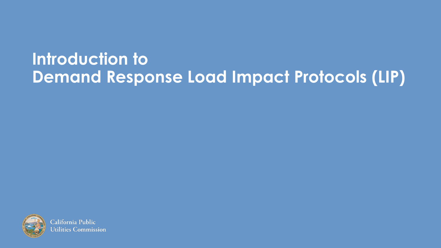#### **Introduction to Demand Response Load Impact Protocols (LIP)**



California Public **Jtilities Commission**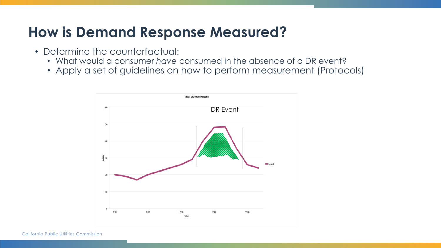#### **How is Demand Response Measured?**

- Determine the counterfactual:
	- What would a consumer *have* consumed in the absence of a DR event?
	- Apply a set of guidelines on how to perform measurement (Protocols)



California Public Utilities Commission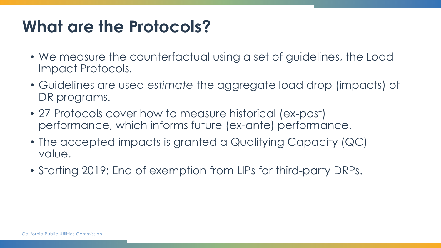## **What are the Protocols?**

- We measure the counterfactual using a set of guidelines, the Load Impact Protocols.
- Guidelines are used *estimate* the aggregate load drop (impacts) of DR programs.
- 27 Protocols cover how to measure historical (ex-post) performance, which informs future (ex-ante) performance.
- The accepted impacts is granted a Qualifying Capacity (QC) value.
- Starting 2019: End of exemption from LIPs for third-party DRPs.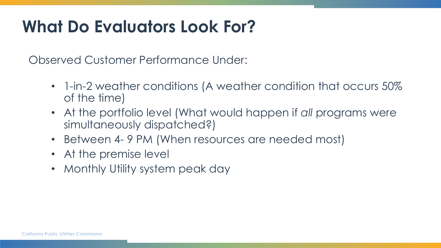## **What Do Evaluators Look For?**

Observed Customer Performance Under:

- 1-in-2 weather conditions (A weather condition that occurs 50% of the time)
- At the portfolio level (What would happen if *all* programs were simultaneously dispatched?)
- Between 4- 9 PM (When resources are needed most)
- At the premise level
- Monthly Utility system peak day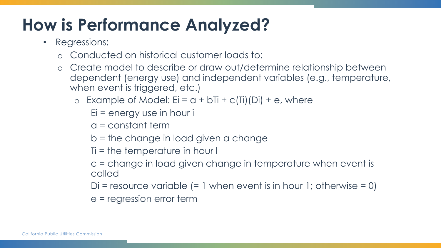## **How is Performance Analyzed?**

- Regressions:
	- o Conducted on historical customer loads to:
	- o Create model to describe or draw out/determine relationship between dependent (energy use) and independent variables (e.g., temperature, when event is triggered, etc.)
		- Example of Model:  $Ei = a + bTi + c(Ti)(Di) + e$ , where
			- $Ei$  = energy use in hour i
			- a = constant term
			- b = the change in load given a change
			- Ti = the temperature in hour l
			- c = change in load given change in temperature when event is called
			- Di = resource variable  $(= 1$  when event is in hour 1; otherwise  $= 0$ )
			- e = regression error term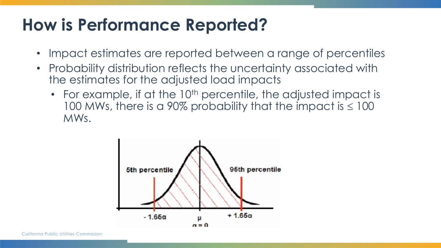### **How is Performance Reported?**

- Impact estimates are reported between a range of percentiles
- Probability distribution reflects the uncertainty associated with the estimates for the adjusted load impacts
	- For example, if at the  $10<sup>th</sup>$  percentile, the adjusted impact is 100 MWs, there is a 90% probability that the impact is  $\leq 100$ MWs.

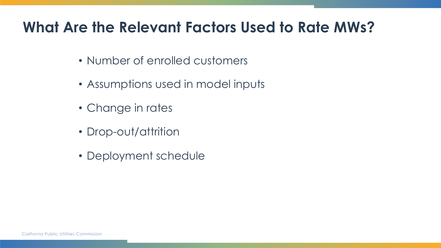#### **What Are the Relevant Factors Used to Rate MWs?**

- Number of enrolled customers
- Assumptions used in model inputs
- Change in rates
- Drop-out/attrition
- Deployment schedule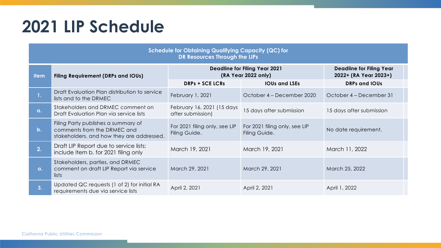#### **2021 LIP Schedule**

| <b>Schedule for Obtaining Qualifying Capacity (QC) for</b><br><b>DR Resources Through the LIPs</b> |                                                                                                                 |                                                             |                                                |                                                          |  |  |  |
|----------------------------------------------------------------------------------------------------|-----------------------------------------------------------------------------------------------------------------|-------------------------------------------------------------|------------------------------------------------|----------------------------------------------------------|--|--|--|
| <b>Item</b>                                                                                        | <b>Filing Requirement (DRPs and IOUs)</b>                                                                       | <b>Deadline for Filing Year 2021</b><br>(RA Year 2022 only) |                                                | <b>Deadline for Filing Year</b><br>2022+ (RA Year 2023+) |  |  |  |
|                                                                                                    |                                                                                                                 | <b>DRPs + SCE LCRs</b>                                      | <b>IOUs and LSEs</b>                           | <b>DRPs and IOUs</b>                                     |  |  |  |
| 1 <sub>1</sub>                                                                                     | Draft Evaluation Plan distribution to service<br>lists and to the DRMEC                                         | February 1, 2021                                            | October 4 – December 2020                      | October 4 – December 31                                  |  |  |  |
| $\alpha$ .                                                                                         | Stakeholders and DRMEC comment on<br>Draft Evaluation Plan via service lists                                    | February 16, 2021 (15 days<br>after submission)             | 15 days after submission                       | 15 days after submission                                 |  |  |  |
| $b$ .                                                                                              | Filing Party publishes a summary of<br>comments from the DRMEC and<br>stakeholders, and how they are addressed. | For 2021 filing only, see LIP<br>Filing Guide.              | For 2021 filing only, see LIP<br>Filing Guide. | No date requirement.                                     |  |  |  |
| $\overline{2}$ .                                                                                   | Draft LIP Report due to service lists;<br>include Item b. for 2021 filing only                                  | March 19, 2021                                              | March 19, 2021                                 | March 11, 2022                                           |  |  |  |
| $\alpha$ .                                                                                         | Stakeholders, parties, and DRMEC<br>comment on draft LIP Report via service<br>lists                            | March 29, 2021                                              | March 29, 2021                                 | March 25, 2022                                           |  |  |  |
| 3.                                                                                                 | Updated QC requests (1 of 2) for initial RA<br>requirements due via service lists                               | April 2, 2021                                               | April 2, 2021                                  | April 1, 2022                                            |  |  |  |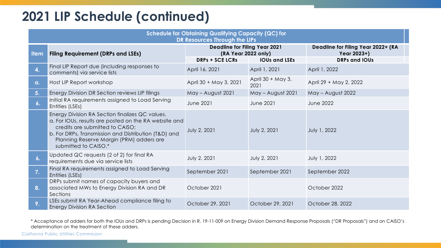#### **2021 LIP Schedule (continued)**

| <b>Schedule for Obtaining Qualifying Capacity (QC) for</b><br>DR Resources Through the LIPs |                                                                                                                                                                                                                                                                         |                                                                                                               |                           |                                                                           |  |  |
|---------------------------------------------------------------------------------------------|-------------------------------------------------------------------------------------------------------------------------------------------------------------------------------------------------------------------------------------------------------------------------|---------------------------------------------------------------------------------------------------------------|---------------------------|---------------------------------------------------------------------------|--|--|
| <b>Item</b>                                                                                 | <b>Filing Requirement (DRPs and LSEs)</b>                                                                                                                                                                                                                               | <b>Deadline for Filing Year 2021</b><br>(RA Year 2022 only)<br><b>DRPs + SCE LCRs</b><br><b>IOUs and LSEs</b> |                           | Deadline for Filing Year 2022+ (RA<br>Year 2023+)<br><b>DRPs and IOUs</b> |  |  |
| $\mathbf{4}$                                                                                | Final LIP Report due (including responses to<br>comments) via service lists                                                                                                                                                                                             | April 16, 2021                                                                                                | April 1, 2021             | April 1, 2022                                                             |  |  |
| a.                                                                                          | Host LIP Report workshop                                                                                                                                                                                                                                                | April 30 + May 3, 2021                                                                                        | April 30 + May 3,<br>2021 | April 29 + May 2, 2022                                                    |  |  |
| 5.                                                                                          | Energy Division DR Section reviews LIP filings                                                                                                                                                                                                                          | May - August 2021                                                                                             | May - August 2021         | May - August 2022                                                         |  |  |
| 6.                                                                                          | Initial RA requirements assigned to Load Serving<br>Entities (LSEs)                                                                                                                                                                                                     | <b>June 2021</b>                                                                                              | <b>June 2021</b>          | <b>June 2022</b>                                                          |  |  |
|                                                                                             | Energy Division RA Section finalizes QC values.<br>a. For IOUs, results are posted on the RA website and<br>credits are submitted to CAISO;<br>b. For DRPs, Transmission and Distribution (T&D) and<br>Planning Reserve Margin (PRM) adders are<br>submitted to CAISO.* | July 2, 2021                                                                                                  | July 2, 2021              | July 1, 2022                                                              |  |  |
| $\mathbf{6}$ .                                                                              | Updated QC requests (2 of 2) for final RA<br>requirements due via service lists                                                                                                                                                                                         | July 2, 2021                                                                                                  | July 2, 2021              | July 1, 2022                                                              |  |  |
| 7.                                                                                          | Final RA requirements assigned to Load Serving<br>Entities (LSEs)                                                                                                                                                                                                       | September 2021                                                                                                | September 2021            | September 2022                                                            |  |  |
| 8.                                                                                          | DRPs submit names of capacity buyers and<br>associated MWs to Energy Division RA and DR<br>Sections                                                                                                                                                                     | October 2021                                                                                                  |                           | October 2022                                                              |  |  |
| 9.                                                                                          | LSEs submit RA Year-Ahead compliance filing to<br><b>Energy Division RA Section</b>                                                                                                                                                                                     | October 29, 2021                                                                                              | October 29, 2021          | October 28, 2022                                                          |  |  |

\* Acceptance of adders for both the IOUs and DRPs is pending Decision in R. 19-11-009 on Energy Division Demand Response Proposals ("DR Proposals") and on CAISO's determination on the treatment of these adders.

California Public Utilities Commission